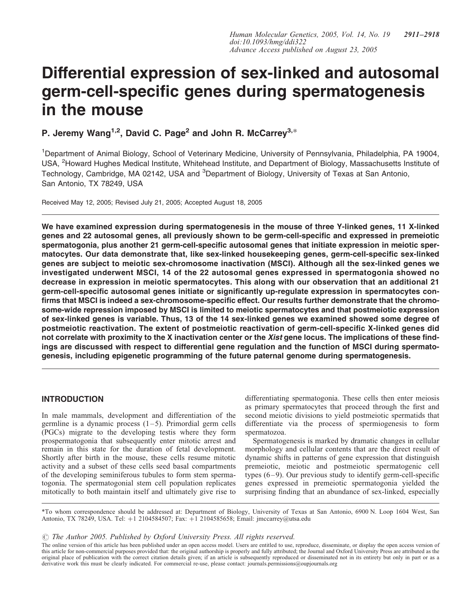# Differential expression of sex-linked and autosomal germ-cell-specific genes during spermatogenesis in the mouse

P. Jeremy Wang<sup>1,2</sup>, David C. Page<sup>2</sup> and John R. McCarrey<sup>3,\*</sup>

<sup>1</sup>Department of Animal Biology, School of Veterinary Medicine, University of Pennsylvania, Philadelphia, PA 19004, USA, <sup>2</sup>Howard Hughes Medical Institute, Whitehead Institute, and Department of Biology, Massachusetts Institute of Technology, Cambridge, MA 02142, USA and <sup>3</sup>Department of Biology, University of Texas at San Antonio, San Antonio, TX 78249, USA

Received May 12, 2005; Revised July 21, 2005; Accepted August 18, 2005

We have examined expression during spermatogenesis in the mouse of three Y-linked genes, 11 X-linked genes and 22 autosomal genes, all previously shown to be germ-cell-specific and expressed in premeiotic spermatogonia, plus another 21 germ-cell-specific autosomal genes that initiate expression in meiotic spermatocytes. Our data demonstrate that, like sex-linked housekeeping genes, germ-cell-specific sex-linked genes are subject to meiotic sex-chromosome inactivation (MSCI). Although all the sex-linked genes we investigated underwent MSCI, 14 of the 22 autosomal genes expressed in spermatogonia showed no decrease in expression in meiotic spermatocytes. This along with our observation that an additional 21 germ-cell-specific autosomal genes initiate or significantly up-regulate expression in spermatocytes confirms that MSCI is indeed a sex-chromosome-specific effect. Our results further demonstrate that the chromosome-wide repression imposed by MSCI is limited to meiotic spermatocytes and that postmeiotic expression of sex-linked genes is variable. Thus, 13 of the 14 sex-linked genes we examined showed some degree of postmeiotic reactivation. The extent of postmeiotic reactivation of germ-cell-specific X-linked genes did not correlate with proximity to the X inactivation center or the Xist gene locus. The implications of these findings are discussed with respect to differential gene regulation and the function of MSCI during spermatogenesis, including epigenetic programming of the future paternal genome during spermatogenesis.

# INTRODUCTION

In male mammals, development and differentiation of the germline is a dynamic process  $(1-5)$ . Primordial germ cells (PGCs) migrate to the developing testis where they form prospermatogonia that subsequently enter mitotic arrest and remain in this state for the duration of fetal development. Shortly after birth in the mouse, these cells resume mitotic activity and a subset of these cells seed basal compartments of the developing seminiferous tubules to form stem spermatogonia. The spermatogonial stem cell population replicates mitotically to both maintain itself and ultimately give rise to

differentiating spermatogonia. These cells then enter meiosis as primary spermatocytes that proceed through the first and second meiotic divisions to yield postmeiotic spermatids that differentiate via the process of spermiogenesis to form spermatozoa.

Spermatogenesis is marked by dramatic changes in cellular morphology and cellular contents that are the direct result of dynamic shifts in patterns of gene expression that distinguish premeiotic, meiotic and postmeiotic spermatogenic cell types (6–9). Our previous study to identify germ-cell-specific genes expressed in premeiotic spermatogonia yielded the surprising finding that an abundance of sex-linked, especially

\*To whom correspondence should be addressed at: Department of Biology, University of Texas at San Antonio, 6900 N. Loop 1604 West, San Antonio, TX 78249, USA. Tel: +1 2104584507; Fax: +1 2104585658; Email: jmccarrey@utsa.edu

 $\circled{c}$  The Author 2005. Published by Oxford University Press. All rights reserved.

The online version of this article has been published under an open access model. Users are entitled to use, reproduce, disseminate, or display the open access version of this article for non-commercial purposes provided that: the original authorship is properly and fully attributed; the Journal and Oxford University Press are attributed as the original place of publication with the correct citation details given; if an article is subsequently reproduced or disseminated not in its entirety but only in part or as a derivative work this must be clearly indicated. For commercial re-use, please contact: journals.permissions@oupjournals.org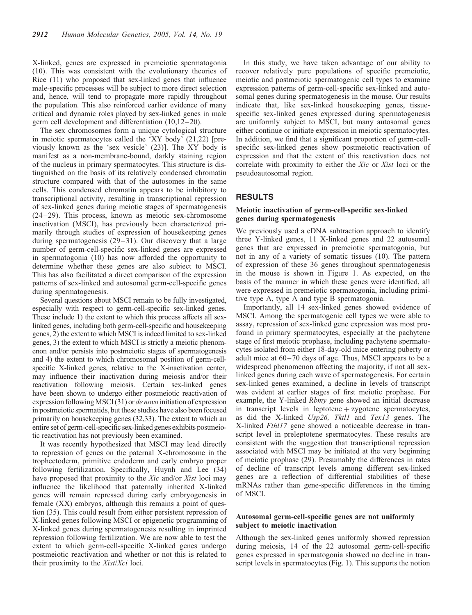X-linked, genes are expressed in premeiotic spermatogonia (10). This was consistent with the evolutionary theories of Rice (11) who proposed that sex-linked genes that influence male-specific processes will be subject to more direct selection and, hence, will tend to propagate more rapidly throughout the population. This also reinforced earlier evidence of many critical and dynamic roles played by sex-linked genes in male germ cell development and differentiation (10,12–20).

The sex chromosomes form a unique cytological structure in meiotic spermatocytes called the 'XY body' (21,22) [previously known as the 'sex vesicle' (23)]. The XY body is manifest as a non-membrane-bound, darkly staining region of the nucleus in primary spermatocytes. This structure is distinguished on the basis of its relatively condensed chromatin structure compared with that of the autosomes in the same cells. This condensed chromatin appears to be inhibitory to transcriptional activity, resulting in transcriptional repression of sex-linked genes during meiotic stages of spermatogenesis (24–29). This process, known as meiotic sex-chromosome inactivation (MSCI), has previously been characterized primarily through studies of expression of housekeeping genes during spermatogenesis (29–31). Our discovery that a large number of germ-cell-specific sex-linked genes are expressed in spermatogonia (10) has now afforded the opportunity to determine whether these genes are also subject to MSCI. This has also facilitated a direct comparison of the expression patterns of sex-linked and autosomal germ-cell-specific genes during spermatogenesis.

Several questions about MSCI remain to be fully investigated, especially with respect to germ-cell-specific sex-linked genes. These include 1) the extent to which this process affects all sexlinked genes, including both germ-cell-specific and housekeeping genes, 2) the extent to which MSCI is indeed limited to sex-linked genes, 3) the extent to which MSCI is strictly a meiotic phenomenon and/or persists into postmeiotic stages of spermatogenesis and 4) the extent to which chromosomal position of germ-cellspecific X-linked genes, relative to the X-inactivation center, may influence their inactivation during meiosis and/or their reactivation following meiosis. Certain sex-linked genes have been shown to undergo either postmeiotic reactivation of expression following MSCI (31) or de novo initiation of expression in postmeiotic spermatids, but these studies have also been focused primarily on housekeeping genes (32,33). The extent to which an entire set of germ-cell-specific sex-linked genes exhibits postmeiotic reactivation has not previously been examined.

It was recently hypothesized that MSCI may lead directly to repression of genes on the paternal X-chromosome in the trophectoderm, primitive endoderm and early embryo proper following fertilization. Specifically, Huynh and Lee (34) have proposed that proximity to the Xic and/or Xist loci may influence the likelihood that paternally inherited X-linked genes will remain repressed during early embryogenesis in female (XX) embryos, although this remains a point of question (35). This could result from either persistent repression of X-linked genes following MSCI or epigenetic programming of X-linked genes during spermatogenesis resulting in imprinted repression following fertilization. We are now able to test the extent to which germ-cell-specific X-linked genes undergo postmeiotic reactivation and whether or not this is related to their proximity to the Xist/Xci loci.

In this study, we have taken advantage of our ability to recover relatively pure populations of specific premeiotic, meiotic and postmeiotic spermatogenic cell types to examine expression patterns of germ-cell-specific sex-linked and autosomal genes during spermatogenesis in the mouse. Our results indicate that, like sex-linked housekeeping genes, tissuespecific sex-linked genes expressed during spermatogenesis are uniformly subject to MSCI, but many autosomal genes either continue or initiate expression in meiotic spermatocytes. In addition, we find that a significant proportion of germ-cellspecific sex-linked genes show postmeiotic reactivation of expression and that the extent of this reactivation does not correlate with proximity to either the Xic or Xist loci or the pseudoautosomal region.

## RESULTS

## Meiotic inactivation of germ-cell-specific sex-linked genes during spermatogenesis

We previously used a cDNA subtraction approach to identify three Y-linked genes, 11 X-linked genes and 22 autosomal genes that are expressed in premeiotic spermatogonia, but not in any of a variety of somatic tissues (10). The pattern of expression of these 36 genes throughout spermatogenesis in the mouse is shown in Figure 1. As expected, on the basis of the manner in which these genes were identified, all were expressed in premeiotic spermatogonia, including primitive type A, type A and type B spermatogonia.

Importantly, all 14 sex-linked genes showed evidence of MSCI. Among the spermatogenic cell types we were able to assay, repression of sex-linked gene expression was most profound in primary spermatocytes, especially at the pachytene stage of first meiotic prophase, including pachytene spermatocytes isolated from either 18-day-old mice entering puberty or adult mice at 60–70 days of age. Thus, MSCI appears to be a widespread phenomenon affecting the majority, if not all sexlinked genes during each wave of spermatogenesis. For certain sex-linked genes examined, a decline in levels of transcript was evident at earlier stages of first meiotic prophase. For example, the Y-linked Rbmy gene showed an initial decrease in transcript levels in leptotene  $+$ zygotene spermatocytes, as did the X-linked Usp26, Tktl1 and Tex13 genes. The X-linked Fthl17 gene showed a noticeable decrease in transcript level in preleptotene spermatocytes. These results are consistent with the suggestion that transcriptional repression associated with MSCI may be initiated at the very beginning of meiotic prophase (29). Presumably the differences in rates of decline of transcript levels among different sex-linked genes are a reflection of differential stabilities of these mRNAs rather than gene-specific differences in the timing of MSCI.

## Autosomal germ-cell-specific genes are not uniformly subject to meiotic inactivation

Although the sex-linked genes uniformly showed repression during meiosis, 14 of the 22 autosomal germ-cell-specific genes expressed in spermatogonia showed no decline in transcript levels in spermatocytes (Fig. 1). This supports the notion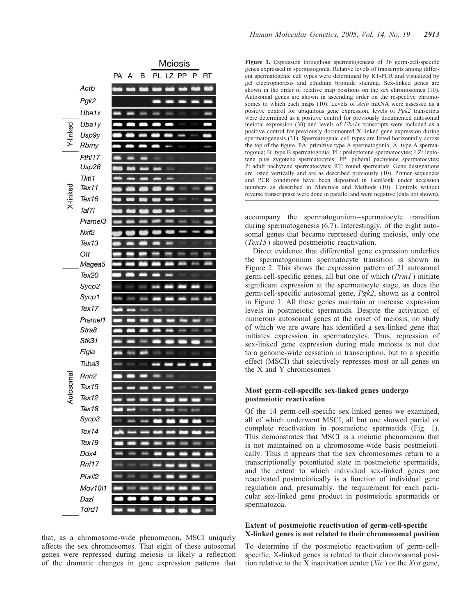

that, as a chromosome-wide phenomenon, MSCI uniquely affects the sex chromosomes. That eight of these autosomal genes were repressed during meiosis is likely a reflection of the dramatic changes in gene expression patterns that

Figure 1. Expression throughout spermatogenesis of 36 germ-cell-specific genes expressed in spermatogonia. Relative levels of transcripts among different spermatogenic cell types were determined by RT-PCR and visualized by gel electrophoresis and ethidium bromide staining. Sex-linked genes are shown in the order of relative map positions on the sex chromosomes (10). Autosomal genes are shown in ascending order on the respective chromosomes to which each maps (10). Levels of Actb mRNA were assessed as a positive control for ubiquitous gene expression, levels of Pgk2 transcripts were determined as a positive control for previously documented autosomal meiotic expression (30) and levels of  $UbeIx$  transcripts were included as a positive control for previously documented X-linked gene expression during spermatogenesis (31). Spermatogenic cell types are listed horizontally across the top of the figure. PA: primitive type A spermatogonia; A: type A spermatogonia; B: type B spermatogonia; PL: preleptotene spermatocytes; LZ: leptotene plus zygotene spermatocytes; PP: puberal pachytene spermatocytes; P: adult pachytene spermatocytes; RT: round spermatids. Gene designations are listed vertically and are as described previously (10). Primer sequences and PCR conditions have been deposited in GenBank under accession numbers as described in Materials and Methods (10). Controls without reverse transcriptase were done in parallel and were negative (data not shown).

accompany the spermatogonium–spermatocyte transition during spermatogenesis (6,7). Interestingly, of the eight autosomal genes that became repressed during meiosis, only one (Tex15 ) showed postmeiotic reactivation.

Direct evidence that differential gene expression underlies the spermatogonium–spermatocyte transition is shown in Figure 2. This shows the expression pattern of 21 autosomal germ-cell-specific genes, all but one of which (Prm1 ) initiate significant expression at the spermatocyte stage, as does the germ-cell-specific autosomal gene, Pgk2, shown as a control in Figure 1. All these genes maintain or increase expression levels in postmeiotic spermatids. Despite the activation of numerous autosomal genes at the onset of meiosis, no study of which we are aware has identified a sex-linked gene that initiates expression in spermatocytes. Thus, repression of sex-linked gene expression during male meiosis is not due to a genome-wide cessation in transcription, but to a specific effect (MSCI) that selectively represses most or all genes on the X and Y chromosomes.

## Most germ-cell-specific sex-linked genes undergo postmeiotic reactivation

Of the 14 germ-cell-specific sex-linked genes we examined, all of which underwent MSCI, all but one showed partial or complete reactivation in postmeiotic spermatids (Fig. 1). This demonstrates that MSCI is a meiotic phenomenon that is not maintained on a chromosome-wide basis postmeiotically. Thus it appears that the sex chromosomes return to a transcriptionally potentiated state in postmeiotic spermatids, and the extent to which individual sex-linked genes are reactivated postmeiotically is a function of individual gene regulation and, presumably, the requirement for each particular sex-linked gene product in postmeiotic spermatids or spermatozoa.

#### Extent of postmeiotic reactivation of germ-cell-specific X-linked genes is not related to their chromosomal position

To determine if the postmeiotic reactivation of germ-cellspecific, X-linked genes is related to their chromosomal position relative to the X inactivation center  $(Xic)$  or the Xist gene,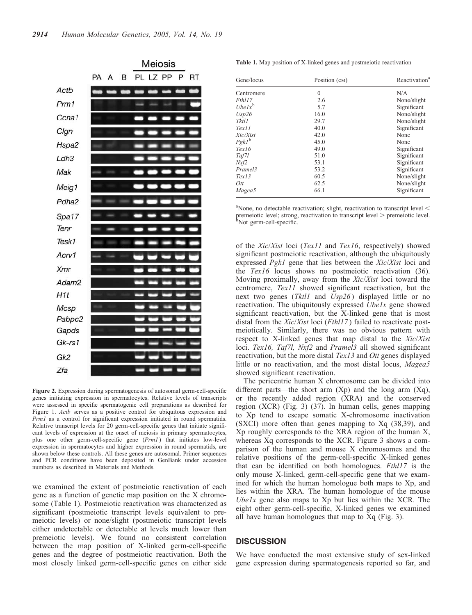

Figure 2. Expression during spermatogenesis of autosomal germ-cell-specific genes initiating expression in spermatocytes. Relative levels of transcripts were assessed in specific spermatogenic cell preparations as described for Figure 1. Actb serves as a positive control for ubiquitous expression and Prm1 as a control for significant expression initiated in round spermatids. Relative transcript levels for 20 germ-cell-specific genes that initiate significant levels of expression at the onset of meiosis in primary spermatocytes, plus one other germ-cell-specific gene (Prm1) that initiates low-level expression in spermatocytes and higher expression in round spermatids, are shown below these controls. All these genes are autosomal. Primer sequences and PCR conditions have been deposited in GenBank under accession numbers as described in Materials and Methods.

we examined the extent of postmeiotic reactivation of each gene as a function of genetic map position on the X chromosome (Table 1). Postmeiotic reactivation was characterized as significant (postmeiotic transcript levels equivalent to premeiotic levels) or none/slight (postmeiotic transcript levels either undetectable or detectable at levels much lower than premeiotic levels). We found no consistent correlation between the map position of X-linked germ-cell-specific genes and the degree of postmeiotic reactivation. Both the most closely linked germ-cell-specific genes on either side

Table 1. Map position of X-linked genes and postmeiotic reactivation

| Gene/locus | Position (CM) | Reactivation <sup>a</sup> |
|------------|---------------|---------------------------|
| Centromere | $\mathbf{0}$  | N/A                       |
| Fthl17     | 2.6           | None/slight               |
| Uhel $x^b$ | 5.7           | Significant               |
| Usp26      | 16.0          | None/slight               |
| Tktl1      | 29.7          | None/slight               |
| Text11     | 40.0          | Significant               |
| Xic/Xist   | 42.0          | None                      |
| $PgkI^b$   | 45.0          | None                      |
| Text16     | 49.0          | Significant               |
| Taf7l      | 51.0          | Significant               |
| Nxf2       | 53.1          | Significant               |
| Pramel3    | 53.2          | Significant               |
| Text13     | 60.5          | None/slight               |
| Ott        | 62.5          | None/slight               |
| Magea5     | 66.1          | Significant               |

<sup>a</sup>None, no detectable reactivation; slight, reactivation to transcript level  $\lt$ premeiotic level; strong, reactivation to transcript level > premeiotic level.<br><sup>b</sup>Not germ-cell-specific.

of the Xic/Xist loci (Tex11 and Tex16, respectively) showed significant postmeiotic reactivation, although the ubiquitously expressed Pgk1 gene that lies between the Xic/Xist loci and the Tex16 locus shows no postmeiotic reactivation (36). Moving proximally, away from the Xic/Xist loci toward the centromere, Tex11 showed significant reactivation, but the next two genes (Tktl1 and Usp26) displayed little or no reactivation. The ubiquitously expressed *Ubelx* gene showed significant reactivation, but the X-linked gene that is most distal from the  $Xic/Xist$  loci (Fth $117$ ) failed to reactivate postmeiotically. Similarly, there was no obvious pattern with respect to X-linked genes that map distal to the Xic/Xist loci. Tex16, Taf7l, Nxf2 and Pramel3 all showed significant reactivation, but the more distal Tex13 and Ott genes displayed little or no reactivation, and the most distal locus, Magea5 showed significant reactivation.

The pericentric human X chromosome can be divided into different parts—the short arm  $(Xp)$  and the long arm  $(Xq)$ , or the recently added region (XRA) and the conserved region (XCR) (Fig. 3) (37). In human cells, genes mapping to Xp tend to escape somatic X-chromosome inactivation (SXCI) more often than genes mapping to Xq (38,39), and Xp roughly corresponds to the XRA region of the human X, whereas Xq corresponds to the XCR. Figure 3 shows a comparison of the human and mouse X chromosomes and the relative positions of the germ-cell-specific X-linked genes that can be identified on both homologues. Fthl17 is the only mouse X-linked, germ-cell-specific gene that we examined for which the human homologue both maps to Xp, and lies within the XRA. The human homologue of the mouse Ubelx gene also maps to  $Xp$  but lies within the XCR. The eight other germ-cell-specific, X-linked genes we examined all have human homologues that map to Xq (Fig. 3).

#### **DISCUSSION**

We have conducted the most extensive study of sex-linked gene expression during spermatogenesis reported so far, and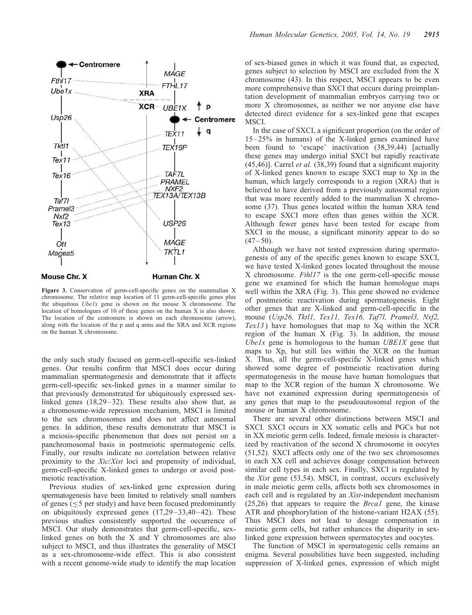

Figure 3. Conservation of germ-cell-specific genes on the mammalian X chromosome. The relative map location of 11 germ-cell-specific genes plus the ubiquitous  $Ubelx$  gene is shown on the mouse X chromosome. The location of homologues of 10 of these genes on the human X is also shown. The location of the centromere is shown on each chromosome (arrow), along with the location of the p and q arms and the XRA and XCR regions on the human X chromosome.

the only such study focused on germ-cell-specific sex-linked genes. Our results confirm that MSCI does occur during mammalian spermatogenesis and demonstrate that it affects germ-cell-specific sex-linked genes in a manner similar to that previously demonstrated for ubiquitously expressed sexlinked genes (18,29–32). These results also show that, as a chromosome-wide repression mechanism, MSCI is limited to the sex chromosomes and does not affect autosomal genes. In addition, these results demonstrate that MSCI is a meiosis-specific phenomenon that does not persist on a panchromosomal basis in postmeiotic spermatogenic cells. Finally, our results indicate no correlation between relative proximity to the Xic/Xist loci and propensity of individual, germ-cell-specific X-linked genes to undergo or avoid postmeiotic reactivation.

Previous studies of sex-linked gene expression during spermatogenesis have been limited to relatively small numbers of genes ( $\leq$ 5 per study) and have been focused predominantly on ubiquitously expressed genes (17,29–33,40–42). These previous studies consistently supported the occurrence of MSCI. Our study demonstrates that germ-cell-specific, sexlinked genes on both the X and Y chromosomes are also subject to MSCI, and thus illustrates the generality of MSCI as a sex-chromosome-wide effect. This is also consistent with a recent genome-wide study to identify the map location

of sex-biased genes in which it was found that, as expected, genes subject to selection by MSCI are excluded from the X chromosome (43). In this respect, MSCI appears to be even more comprehensive than SXCI that occurs during preimplantation development of mammalian embryos carrying two or more X chromosomes, as neither we nor anyone else have detected direct evidence for a sex-linked gene that escapes MSCI.

In the case of SXCI, a significant proportion (on the order of 15–25% in humans) of the X-linked genes examined have been found to 'escape' inactivation (38,39,44) [actually these genes may undergo initial SXCI but rapidly reactivate  $(45, 46)$ ]. Carrel *et al.*  $(38, 39)$  found that a significant majority of X-linked genes known to escape SXCI map to Xp in the human, which largely corresponds to a region (XRA) that is believed to have derived from a previously autosomal region that was more recently added to the mammalian X chromosome (37). Thus genes located within the human XRA tend to escape SXCI more often than genes within the XCR. Although fewer genes have been tested for escape from SXCI in the mouse, a significant minority appear to do so  $(47-50)$ .

Although we have not tested expression during spermatogenesis of any of the specific genes known to escape SXCI, we have tested X-linked genes located throughout the mouse X chromosome. Fthl17 is the one germ-cell-specific mouse gene we examined for which the human homologue maps well within the XRA (Fig. 3). This gene showed no evidence of postmeiotic reactivation during spermatogenesis. Eight other genes that are X-linked and germ-cell-specific in the mouse (Usp26, Tktl1, Tex11, Tex16, Taf7l, Pramel3, Nxf2,  $Text13$ ) have homologues that map to  $Xq$  within the  $XCR$ region of the human X (Fig. 3). In addition, the mouse Ube1x gene is homologous to the human  $UBE1X$  gene that maps to Xp, but still lies within the XCR on the human X. Thus, all the germ-cell-specific X-linked genes which showed some degree of postmeiotic reactivation during spermatogenesis in the mouse have human homologues that map to the XCR region of the human X chromosome. We have not examined expression during spermatogenesis of any genes that map to the pseudoautosomal region of the mouse or human X chromosome.

There are several other distinctions between MSCI and SXCI. SXCI occurs in XX somatic cells and PGCs but not in XX meiotic germ cells. Indeed, female meiosis is characterized by reactivation of the second X chromosome in oocytes (51,52). SXCI affects only one of the two sex chromosomes in each XX cell and achieves dosage compensation between similar cell types in each sex. Finally, SXCI is regulated by the Xist gene (53,54). MSCI, in contrast, occurs exclusively in male meiotic germ cells, affects both sex chromosomes in each cell and is regulated by an Xist-independent mechanism (25,26) that appears to require the Brca1 gene, the kinase ATR and phosphorylation of the histone-variant H2AX (55). Thus MSCI does not lead to dosage compensation in meiotic germ cells, but rather enhances the disparity in sexlinked gene expression between spermatocytes and oocytes.

The function of MSCI in spermatogenic cells remains an enigma. Several possibilities have been suggested, including suppression of X-linked genes, expression of which might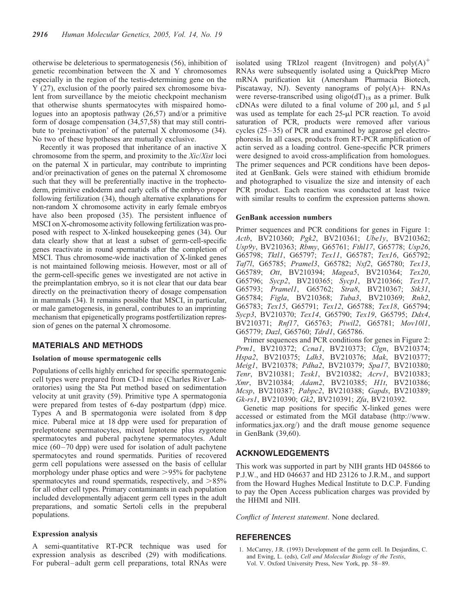otherwise be deleterious to spermatogenesis (56), inhibition of genetic recombination between the X and Y chromosomes especially in the region of the testis-determining gene on the Y (27), exclusion of the poorly paired sex chromosome bivalent from surveillance by the meiotic checkpoint mechanism that otherwise shunts spermatocytes with mispaired homologues into an apoptosis pathway (26,57) and/or a primitive form of dosage compensation (34,57,58) that may still contribute to 'preinactivation' of the paternal X chromosome (34). No two of these hypotheses are mutually exclusive.

Recently it was proposed that inheritance of an inactive X chromosome from the sperm, and proximity to the Xic/Xist loci on the paternal X in particular, may contribute to imprinting and/or preinactivation of genes on the paternal X chromosome such that they will be preferentially inactive in the trophectoderm, primitive endoderm and early cells of the embryo proper following fertilization (34), though alternative explanations for non-random X chromosome activity in early female embryos have also been proposed (35). The persistent influence of MSCI on X-chromosome activity following fertilization was proposed with respect to X-linked housekeeping genes (34). Our data clearly show that at least a subset of germ-cell-specific genes reactivate in round spermatids after the completion of MSCI. Thus chromosome-wide inactivation of X-linked genes is not maintained following meiosis. However, most or all of the germ-cell-specific genes we investigated are not active in the preimplantation embryo, so it is not clear that our data bear directly on the preinactivation theory of dosage compensation in mammals (34). It remains possible that MSCI, in particular, or male gametogenesis, in general, contributes to an imprinting mechanism that epigenetically programs postfertilization repression of genes on the paternal X chromosome.

#### MATERIALS AND METHODS

#### Isolation of mouse spermatogenic cells

Populations of cells highly enriched for specific spermatogenic cell types were prepared from CD-1 mice (Charles River Laboratories) using the Sta Put method based on sedimentation velocity at unit gravity (59). Primitive type A spermatogonia were prepared from testes of 6-day postpartum (dpp) mice. Types A and B spermatogonia were isolated from 8 dpp mice. Puberal mice at 18 dpp were used for preparation of preleptotene spermatocytes, mixed leptotene plus zygotene spermatocytes and puberal pachytene spermatocytes. Adult mice (60–70 dpp) were used for isolation of adult pachytene spermatocytes and round spermatids. Purities of recovered germ cell populations were assessed on the basis of cellular morphology under phase optics and were  $>95%$  for pachytene spermatocytes and round spermatids, respectively, and  $>85\%$ for all other cell types. Primary contaminants in each population included developmentally adjacent germ cell types in the adult preparations, and somatic Sertoli cells in the prepuberal populations.

#### Expression analysis

A semi-quantitative RT-PCR technique was used for expression analysis as described (29) with modifications. For puberal–adult germ cell preparations, total RNAs were

isolated using TRIzol reagent (Invitrogen) and  $poly(A)^+$ RNAs were subsequently isolated using a QuickPrep Micro mRNA purification kit (Amersham Pharmacia Biotech, Piscataway, NJ). Seventy nanograms of  $poly(A)$  RNAs were reverse-transcribed using  $oligo(dT)_{18}$  as a primer. Bulk cDNAs were diluted to a final volume of 200  $\mu$ l, and 5  $\mu$ l was used as template for each 25-µl PCR reaction. To avoid saturation of PCR, products were removed after various cycles (25–35) of PCR and examined by agarose gel electrophoresis. In all cases, products from RT-PCR amplification of actin served as a loading control. Gene-specific PCR primers were designed to avoid cross-amplification from homologues. The primer sequences and PCR conditions have been deposited at GenBank. Gels were stained with ethidium bromide and photographed to visualize the size and intensity of each PCR product. Each reaction was conducted at least twice with similar results to confirm the expression patterns shown.

#### GenBank accession numbers

Primer sequences and PCR conditions for genes in Figure 1: Actb, BV210360; Pgk2, BV210361; Ubely, BV210362; Usp9y, BV210363; Rbmy, G65761; Fthl17, G65778; Usp26, G65798; Tktl1, G65797; Tex11, G65787; Tex16, G65792; Taf7l, G65785; Pramel3, G65782; Nxf2, G65780; Tex13, G65789; Ott, BV210394; Magea5, BV210364; Tex20, G65796; Sycp2, BV210365; Sycp1, BV210366; Tex17, G65793; Pramel1, G65762; Stra8, BV210367; Stk31, G65784; Figla, BV210368; Tuba3, BV210369; Rnh2, G65783; Tex15, G65791; Tex12, G65788; Tex18, G65794; Sycp3, BV210370; Tex14, G65790; Tex19, G65795; Ddx4, BV210371; Rnf17, G65763; Piwil2, G65781; Mov10l1, G65779; Dazl, G65760; Tdrd1, G65786.

Primer sequences and PCR conditions for genes in Figure 2: Prm1, BV210372; Ccna1, BV210373; Clgn, BV210374; Hspa2, BV210375; Ldh3, BV210376; Mak, BV210377; Meig1, BV210378; Pdha2, BV210379; Spa17, BV210380; Tenr, BV210381; Tesk1, BV210382; Acrv1, BV210383; Xmr, BV210384; Adam2, BV210385; H1t, BV210386; Mcsp, BV210387; Pabpc2, BV210388; Gapds, BV210389; Gk-rs1, BV210390; Gk2, BV210391; Zfa, BV210392.

Genetic map positions for specific X-linked genes were accessed or estimated from the MGI database (http://www. informatics.jax.org/) and the draft mouse genome sequence in GenBank (39,60).

### ACKNOWLEDGEMENTS

This work was supported in part by NIH grants HD 045866 to P.J.W., and HD 046637 and HD 23126 to J.R.M., and support from the Howard Hughes Medical Institute to D.C.P. Funding to pay the Open Access publication charges was provided by the HHMI and NIH.

Conflict of Interest statement. None declared.

# **REFERENCES**

1. McCarrey, J.R. (1993) Development of the germ cell. In Desjardins, C. and Ewing, L. (eds), Cell and Molecular Biology of the Testis, Vol. V. Oxford University Press, New York, pp. 58–89.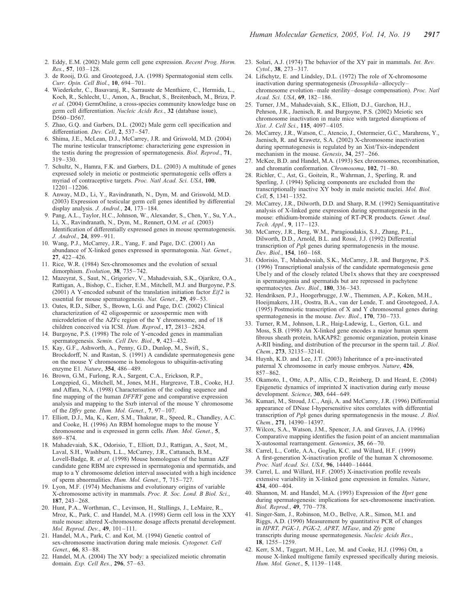- 2. Eddy, E.M. (2002) Male germ cell gene expression. Recent Prog. Horm. Res., 57, 103–128.
- 3. de Rooij, D.G. and Grootegoed, J.A. (1998) Spermatogonial stem cells. Curr. Opin. Cell Biol., 10, 694–701.
- 4. Wiederkehr, C., Basavaraj, R., Sarrauste de Menthiere, C., Hermida, L., Koch, R., Schlecht, U., Amon, A., Brachat, S., Breitenbach, M., Briza, P. et al. (2004) GermOnline, a cross-species community knowledge base on germ cell differentiation. Nucleic Acids Res., 32 (database issue), D560–D567.
- 5. Zhao, G.Q. and Garbers, D.L. (2002) Male germ cell specification and differentiation. Dev. Cell, 2, 537–547.
- 6. Shima, J.E., McLean, D.J., McCarrey, J.R. and Griswold, M.D. (2004) The murine testicular transcriptome: characterizing gene expression in the testis during the progression of spermatogenesis. Biol. Reprod., 71, 319–330.
- 7. Schultz, N., Hamra, F.K. and Garbers, D.L. (2003) A multitude of genes expressed solely in meiotic or postmeiotic spermatogenic cells offers a myriad of contraceptive targets. Proc. Natl Acad. Sci. USA, 100, 12201–12206.
- 8. Anway, M.D., Li, Y., Ravindranath, N., Dym, M. and Griswold, M.D. (2003) Expression of testicular germ cell genes identified by differential display analysis. *J. Androl.*, **24**, 173-184.
- 9. Pang, A.L., Taylor, H.C., Johnson, W., Alexander, S., Chen, Y., Su, Y.A., Li, X., Ravindranath, N., Dym, M., Rennert, O.M. et al. (2003) Identification of differentially expressed genes in mouse spermatogenesis. J. Androl., 24, 899–911.
- 10. Wang, P.J., McCarrey, J.R., Yang, F. and Page, D.C. (2001) An abundance of X-linked genes expressed in spermatogonia. Nat. Genet., 27, 422–426.
- 11. Rice, W.R. (1984) Sex-chromosomes and the evolution of sexual dimorphism. Evolution, 38, 735-742.
- 12. Mazeyrat, S., Saut, N., Grigoriev, V., Mahadevaiah, S.K., Ojarikre, O.A., Rattigan, A., Bishop, C., Eicher, E.M., Mitchell, M.J. and Burgoyne, P.S. (2001) A Y-encoded subunit of the translation initiation factor  $Eif2$  is essential for mouse spermatogenesis. Nat. Genet., 29, 49–53.
- 13. Oates, R.D., Silber, S., Brown, L.G. and Page, D.C. (2002) Clinical characterization of 42 oligospermic or azoospermic men with microdeletion of the AZFc region of the Y chromosome, and of 18 children conceived via ICSI. Hum. Reprod., 17, 2813–2824.
- 14. Burgoyne, P.S. (1998) The role of Y-encoded genes in mammalian spermatogenesis. Semin. Cell Dev. Biol., 9, 423–432.
- 15. Kay, G.F., Ashworth, A., Penny, G.D., Dunlop, M., Swift, S., Brockdorff, N. and Rastan, S. (1991) A candidate spermatogenesis gene on the mouse Y chromosome is homologous to ubiquitin-activating enzyme E1. Nature, 354, 486–489.
- 16. Brown, G.M., Furlong, R.A., Sargent, C.A., Erickson, R.P., Longepied, G., Mitchell, M., Jones, M.H., Hargreave, T.B., Cooke, H.J. and Affara, N.A. (1998) Characterisation of the coding sequence and fine mapping of the human DFFRY gene and comparative expression analysis and mapping to the Sxrb interval of the mouse Y chromosome of the Dffry gene. Hum. Mol. Genet., 7, 97–107.
- 17. Elliott, D.J., Ma, K., Kerr, S.M., Thakrar, R., Speed, R., Chandley, A.C. and Cooke, H. (1996) An RBM homologue maps to the mouse Y chromosome and is expressed in germ cells. Hum. Mol. Genet., 5, 869–874.
- 18. Mahadevaiah, S.K., Odorisio, T., Elliott, D.J., Rattigan, A., Szot, M., Laval, S.H., Washburn, L.L., McCarrey, J.R., Cattanach, B.M., Lovell-Badge, R. et al. (1998) Mouse homologues of the human AZF candidate gene RBM are expressed in spermatogonia and spermatids, and map to a Y chromosome deletion interval associated with a high incidence of sperm abnormalities. Hum. Mol. Genet., 7, 715–727.
- 19. Lyon, M.F. (1974) Mechanisms and evolutionary origins of variable X-chromosome activity in mammals. Proc. R. Soc. Lond. B Biol. Sci., 187, 243–268.
- 20. Hunt, P.A., Worthman, C., Levinson, H., Stallings, J., LeMaire, R., Mroz, K., Park, C. and Handel, M.A. (1998) Germ cell loss in the XXY male mouse: altered X-chromosome dosage affects prenatal development. Mol. Reprod. Dev., 49, 101–111.
- 21. Handel, M.A., Park, C. and Kot, M. (1994) Genetic control of sex-chromosome inactivation during male meiosis. Cytogenet. Cell Genet., 66, 83–88.
- 22. Handel, M.A. (2004) The XY body: a specialized meiotic chromatin domain. Exp. Cell Res., 296, 57–63.
- 23. Solari, A.J. (1974) The behavior of the XY pair in mammals. Int. Rev. Cytol., 38, 273–317.
- 24. Lifschytz, E. and Lindsley, D.L. (1972) The role of X-chromosome inactivation during spermatogenesis (Drosophila–allocycly– chromosome evolution–male sterility–dosage compensation). Proc. Natl Acad. Sci. USA, 69, 182–186.
- 25. Turner, J.M., Mahadevaiah, S.K., Elliott, D.J., Garchon, H.J., Pehrson, J.R., Jaenisch, R. and Burgoyne, P.S. (2002) Meiotic sex chromosome inactivation in male mice with targeted disruptions of Xist. J. Cell Sci., 115, 4097–4105.
- 26. McCarrey, J.R., Watson, C., Atencio, J., Ostermeier, G.C., Marahrens, Y., Jaenisch, R. and Krawetz, S.A. (2002) X-chromosome inactivation during spermatogenesis is regulated by an Xist/Tsix-independent mechanism in the mouse. Genesis, 34, 257–266.
- 27. McKee, B.D. and Handel, M.A. (1993) Sex chromosomes, recombination, and chromatin conformation. Chromosoma, 102, 71–80.
- 28. Richler, C., Ast, G., Goitein, R., Wahrman, J., Sperling, R. and Sperling, J. (1994) Splicing components are excluded from the transcriptionally inactive XY body in male meiotic nuclei. Mol. Biol. Cell, 5, 1341–1352.
- 29. McCarrey, J.R., Dilworth, D.D. and Sharp, R.M. (1992) Semiquantitative analysis of X-linked gene expression during spermatogenesis in the mouse: ethidium-bromide staining of RT-PCR products. Genet. Anal. Tech. Appl., 9, 117–123.
- 30. McCarrey, J.R., Berg, W.M., Paragioudakis, S.J., Zhang, P.L., Dilworth, D.D., Arnold, B.L. and Rossi, J.J. (1992) Differential transcription of Pgk genes during spermatogenesis in the mouse. Dev. Biol., 154, 160–168.
- 31. Odorisio, T., Mahadevaiah, S.K., McCarrey, J.R. and Burgoyne, P.S. (1996) Transcriptional analysis of the candidate spermatogenesis gene Ube1y and of the closely related Ube1x shows that they are coexpressed in spermatogonia and spermatids but are repressed in pachytene spermatocytes. Dev. Biol., 180, 336-343.
- 32. Hendriksen, P.J., Hoogerbrugge, J.W., Themmen, A.P., Koken, M.H., Hoeijmakers, J.H., Oostra, B.A., van der Lende, T. and Grootegoed, J.A. (1995) Postmeiotic transcription of X and Y chromosomal genes during spermatogenesis in the mouse. Dev. Biol., 170, 730-733.
- 33. Turner, R.M., Johnson, L.R., Haig-Ladewig, L., Gerton, G.L. and Moss, S.B. (1998) An X-linked gene encodes a major human sperm fibrous sheath protein, hAKAP82: genomic organization, protein kinase A-RII binding, and distribution of the precursor in the sperm tail. J. Biol. Chem., 273, 32135–32141.
- 34. Huynh, K.D. and Lee, J.T. (2003) Inheritance of a pre-inactivated paternal X chromosome in early mouse embryos. Nature, 426, 857–862.
- 35. Okamoto, I., Otte, A.P., Allis, C.D., Reinberg, D. and Heard, E. (2004) Epigenetic dynamics of imprinted X inactivation during early mouse development. Science, 303, 644–649.
- 36. Kumari, M., Stroud, J.C., Anji, A. and McCarrey, J.R. (1996) Differential appearance of DNase I-hypersensitive sites correlates with differential transcription of Pgk genes during spermatogenesis in the mouse. J. Biol. Chem., 271, 14390–14397.
- 37. Wilcox, S.A., Watson, J.M., Spencer, J.A. and Graves, J.A. (1996) Comparative mapping identifies the fusion point of an ancient mammalian X-autosomal rearrangement. Genomics, 35, 66–70.
- 38. Carrel, L., Cottle, A.A., Goglin, K.C. and Willard, H.F. (1999) A first-generation X-inactivation profile of the human X chromosome. Proc. Natl Acad. Sci. USA, 96, 14440–14444.
- 39. Carrel, L. and Willard, H.F. (2005) X-inactivation profile reveals extensive variability in X-linked gene expression in females. Nature, 434, 400–404.
- 40. Shannon, M. and Handel, M.A. (1993) Expression of the Hprt gene during spermatogenesis: implications for sex-chromosome inactivation. Biol. Reprod., 49, 770–778.
- 41. Singer-Sam, J., Robinson, M.O., Bellve, A.R., Simon, M.I. and Riggs, A.D. (1990) Measurement by quantitative PCR of changes in HPRT, PGK-1, PGK-2, APRT, MTase, and Zfy gene transcripts during mouse spermatogenesis. Nucleic Acids Res., 18, 1255–1259.
- 42. Kerr, S.M., Taggart, M.H., Lee, M. and Cooke, H.J. (1996) Ott, a mouse X-linked multigene family expressed specifically during meiosis. Hum. Mol. Genet., 5, 1139–1148.